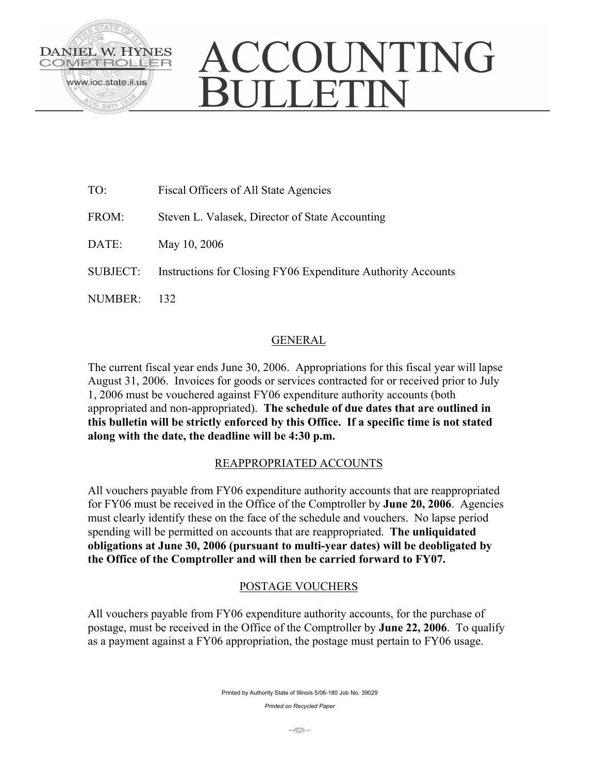

# CCOUNTING ULLETIN

| TO:             | Fiscal Officers of All State Agencies                        |
|-----------------|--------------------------------------------------------------|
| FROM:           | Steven L. Valasek, Director of State Accounting              |
| DATE:           | May 10, 2006                                                 |
| <b>SUBJECT:</b> | Instructions for Closing FY06 Expenditure Authority Accounts |
| NUMBER:         |                                                              |

# GENERAL

The current fiscal year ends June 30, 2006. Appropriations for this fiscal year will lapse August 31, 2006. Invoices for goods or services contracted for or received prior to July 1, 2006 must be vouchered against FY06 expenditure authority accounts (both appropriated and non-appropriated). **The schedule of due dates that are outlined in this bulletin will be strictly enforced by this Office. If a specific time is not stated along with the date, the deadline will be 4:30 p.m.** 

## REAPPROPRIATED ACCOUNTS

All vouchers payable from FY06 expenditure authority accounts that are reappropriated for FY06 must be received in the Office of the Comptroller by **June 20, 2006**. Agencies must clearly identify these on the face of the schedule and vouchers. No lapse period spending will be permitted on accounts that are reappropriated. **The unliquidated obligations at June 30, 2006 (pursuant to multi-year dates) will be deobligated by the Office of the Comptroller and will then be carried forward to FY07.**

# POSTAGE VOUCHERS

All vouchers payable from FY06 expenditure authority accounts, for the purchase of postage, must be received in the Office of the Comptroller by **June 22, 2006**. To qualify as a payment against a FY06 appropriation, the postage must pertain to FY06 usage.

> Printed by Authority State of Illinois 5/06-180 Job No. 39029 *Printed on Recycled Paper*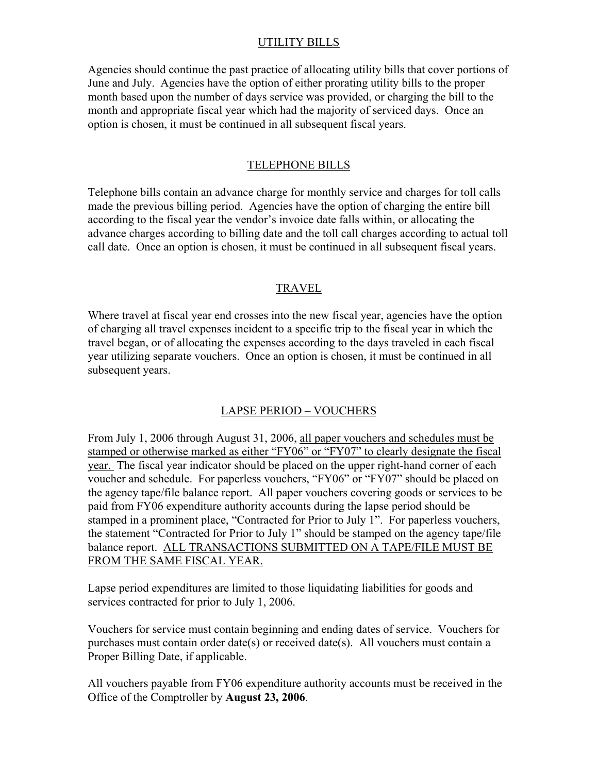### UTILITY BILLS

Agencies should continue the past practice of allocating utility bills that cover portions of June and July. Agencies have the option of either prorating utility bills to the proper month based upon the number of days service was provided, or charging the bill to the month and appropriate fiscal year which had the majority of serviced days. Once an option is chosen, it must be continued in all subsequent fiscal years.

### TELEPHONE BILLS

Telephone bills contain an advance charge for monthly service and charges for toll calls made the previous billing period. Agencies have the option of charging the entire bill according to the fiscal year the vendor's invoice date falls within, or allocating the advance charges according to billing date and the toll call charges according to actual toll call date. Once an option is chosen, it must be continued in all subsequent fiscal years.

### TRAVEL

Where travel at fiscal year end crosses into the new fiscal year, agencies have the option of charging all travel expenses incident to a specific trip to the fiscal year in which the travel began, or of allocating the expenses according to the days traveled in each fiscal year utilizing separate vouchers. Once an option is chosen, it must be continued in all subsequent years.

## LAPSE PERIOD – VOUCHERS

From July 1, 2006 through August 31, 2006, all paper vouchers and schedules must be stamped or otherwise marked as either "FY06" or "FY07" to clearly designate the fiscal year. The fiscal year indicator should be placed on the upper right-hand corner of each voucher and schedule. For paperless vouchers, "FY06" or "FY07" should be placed on the agency tape/file balance report. All paper vouchers covering goods or services to be paid from FY06 expenditure authority accounts during the lapse period should be stamped in a prominent place, "Contracted for Prior to July 1". For paperless vouchers, the statement "Contracted for Prior to July 1" should be stamped on the agency tape/file balance report. ALL TRANSACTIONS SUBMITTED ON A TAPE/FILE MUST BE FROM THE SAME FISCAL YEAR.

Lapse period expenditures are limited to those liquidating liabilities for goods and services contracted for prior to July 1, 2006.

Vouchers for service must contain beginning and ending dates of service. Vouchers for purchases must contain order date(s) or received date(s). All vouchers must contain a Proper Billing Date, if applicable.

All vouchers payable from FY06 expenditure authority accounts must be received in the Office of the Comptroller by **August 23, 2006**.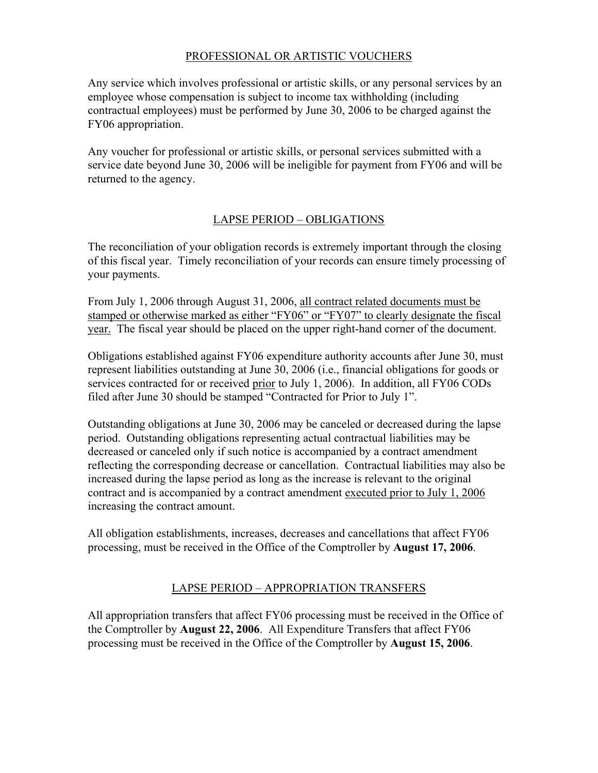## PROFESSIONAL OR ARTISTIC VOUCHERS

Any service which involves professional or artistic skills, or any personal services by an employee whose compensation is subject to income tax withholding (including contractual employees) must be performed by June 30, 2006 to be charged against the FY06 appropriation.

Any voucher for professional or artistic skills, or personal services submitted with a service date beyond June 30, 2006 will be ineligible for payment from FY06 and will be returned to the agency.

# LAPSE PERIOD – OBLIGATIONS

The reconciliation of your obligation records is extremely important through the closing of this fiscal year. Timely reconciliation of your records can ensure timely processing of your payments.

From July 1, 2006 through August 31, 2006, all contract related documents must be stamped or otherwise marked as either "FY06" or "FY07" to clearly designate the fiscal year. The fiscal year should be placed on the upper right-hand corner of the document.

Obligations established against FY06 expenditure authority accounts after June 30, must represent liabilities outstanding at June 30, 2006 (i.e., financial obligations for goods or services contracted for or received prior to July 1, 2006). In addition, all FY06 CODs filed after June 30 should be stamped "Contracted for Prior to July 1".

Outstanding obligations at June 30, 2006 may be canceled or decreased during the lapse period. Outstanding obligations representing actual contractual liabilities may be decreased or canceled only if such notice is accompanied by a contract amendment reflecting the corresponding decrease or cancellation. Contractual liabilities may also be increased during the lapse period as long as the increase is relevant to the original contract and is accompanied by a contract amendment executed prior to July 1, 2006 increasing the contract amount.

All obligation establishments, increases, decreases and cancellations that affect FY06 processing, must be received in the Office of the Comptroller by **August 17, 2006**.

# LAPSE PERIOD – APPROPRIATION TRANSFERS

All appropriation transfers that affect FY06 processing must be received in the Office of the Comptroller by **August 22, 2006**. All Expenditure Transfers that affect FY06 processing must be received in the Office of the Comptroller by **August 15, 2006**.